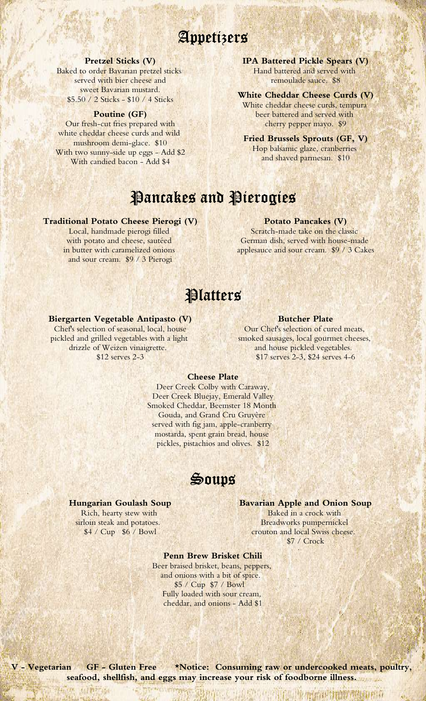# Appetizers

#### **Pretzel Sticks (V)**

Baked to order Bavarian pretzel sticks served with bier cheese and sweet Bavarian mustard. \$5.50 / 2 Sticks - \$10 / 4 Sticks

#### **Poutine (GF)**

Our fresh-cut fries prepared with white cheddar cheese curds and wild mushroom demi-glace. \$10 With two sunny-side up eggs - Add \$2 With candied bacon - Add \$4

**IPA Battered Pickle Spears (V)** Hand battered and served with remoulade sauce. \$8

### **White Cheddar Cheese Curds (V)**

White cheddar cheese curds, tempura beer battered and served with cherry pepper mayo. \$9

**Fried Brussels Sprouts (GF, V)** Hop balsamic glaze, cranberries and shaved parmesan. \$10

# Pancakes and Pierogies

#### **Traditional Potato Cheese Pierogi (V)**

Local, handmade pierogi filled with potato and cheese, sautéed in butter with caramelized onions and sour cream. \$9 / 3 Pierogi

#### **Potato Pancakes (V)**

Scratch-made take on the classic German dish, served with house-made applesauce and sour cream. \$9 / 3 Cakes

### **Platters**

#### **Biergarten Vegetable Antipasto (V)**

Chef's selection of seasonal, local, house pickled and grilled vegetables with a light drizzle of Weizen vinaigrette. \$12 serves 2-3

### **Butcher Plate**

Our Chef's selection of cured meats, smoked sausages, local gourmet cheeses, and house pickled vegetables. \$17 serves 2-3, \$24 serves 4-6

#### **Cheese Plate**

Deer Creek Colby with Caraway, Deer Creek Bluejay, Emerald Valley Smoked Cheddar, Beemster 18 Month Gouda, and Grand Cru Gruyère served with fig jam, apple-cranberry mostarda, spent grain bread, house pickles, pistachios and olives. \$12

Soups

#### **Hungarian Goulash Soup**

Rich, hearty stew with sirloin steak and potatoes. \$4 / Cup \$6 / Bowl

#### **Bavarian Apple and Onion Soup**

Baked in a crock with Breadworks pumpernickel crouton and local Swiss cheese. \$7 / Crock

#### **Penn Brew Brisket Chili**

Beer braised brisket, beans, peppers, and onions with a bit of spice. \$5 / Cup \$7 / Bowl Fully loaded with sour cream, cheddar, and onions - Add \$1

**V - Vegetarian GF - Gluten Free \*Notice: Consuming raw or undercooked meats, poultry, seafood, shellfish, and eggs may increase your risk of foodborne illness.**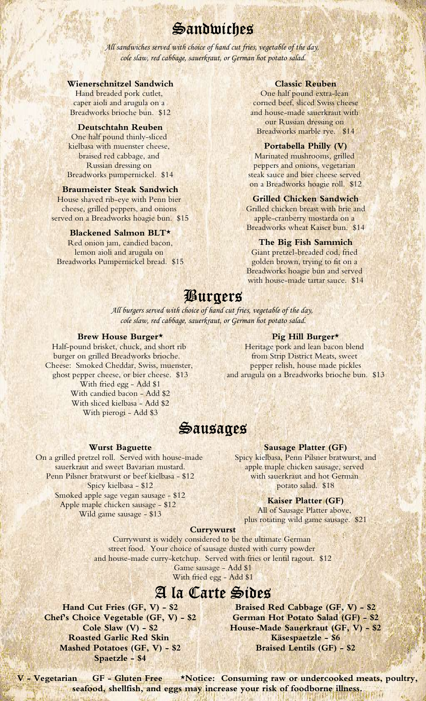# Sandwiches

*All sandwiches served with choice of hand cut fries, vegetable of the day, cole slaw, red cabbage, sauerkraut, or German hot potato salad.*

#### **Wienerschnitzel Sandwich**

Hand breaded pork cutlet, caper aioli and arugula on a Breadworks brioche bun. \$12

One half pound thinly-sliced kielbasa with muenster cheese, braised red cabbage, and Russian dressing on Breadworks pumpernickel. \$14

House shaved rib-eye with Penn bier cheese, grilled peppers, and onions served on a Breadworks hoagie bun. \$15

Red onion jam, candied bacon, lemon aioli and arugula on Breadworks Pumpernickel bread. \$15

#### **Classic Reuben**

One half pound extra-lean corned beef, sliced Swiss cheese and house-made sauerkraut with our Russian dressing on Breadworks marble rye. \$14 **Deutschtahn Reuben**

#### **Portabella Philly (V)**

Marinated mushrooms, grilled peppers and onions, vegetarian steak sauce and bier cheese served on a Breadworks hoagie roll. \$12 **Braumeister Steak Sandwich**

#### **Grilled Chicken Sandwich**

Grilled chicken breast with brie and apple-cranberry mostarda on a **Blackened Salmon BLT\*** Breadworks wheat Kaiser bun. \$14

#### **The Big Fish Sammich**

Giant pretzel-breaded cod, fried golden brown, trying to fit on a Breadworks hoagie bun and served with house-made tartar sauce. \$14

## Burgers

*All burgers served with choice of hand cut fries, vegetable of the day, cole slaw, red cabbage, sauerkraut, or German hot potato salad.*

#### **Brew House Burger\***

Half-pound brisket, chuck, and short rib burger on grilled Breadworks brioche. Cheese: Smoked Cheddar, Swiss, muenster, ghost pepper cheese, or bier cheese. \$13 With fried egg - Add \$1 With candied bacon - Add \$2 With sliced kielbasa - Add \$2 With pierogi - Add \$3

**Pig Hill Burger\***

Heritage pork and lean bacon blend from Strip District Meats, sweet pepper relish, house made pickles and arugula on a Breadworks brioche bun. \$13

### Sausages

#### **Wurst Baguette**

On a grilled pretzel roll. Served with house-made sauerkraut and sweet Bavarian mustard. Penn Pilsner bratwurst or beef kielbasa - \$12 Spicy kielbasa - \$12 Smoked apple sage vegan sausage - \$12 Apple maple chicken sausage - \$12 Wild game sausage - \$13

#### **Sausage Platter (GF)**

Spicy kielbasa, Penn Pilsner bratwurst, and apple maple chicken sausage, served with sauerkraut and hot German potato salad. \$18

#### **Kaiser Platter (GF)**

All of Sausage Platter above, plus rotating wild game sausage. \$21

#### **Currywurst**

Currywurst is widely considered to be the ultimate German street food. Your choice of sausage dusted with curry powder and house-made curry-ketchup. Served with fries or lentil ragout. \$12 Game sausage - Add \$1

With fried egg - Add \$1

## A la Carte Sides

**Hand Cut Fries (GF, V) - \$2 Braised Red Cabbage (GF, V) - \$2 Chef's Choice Vegetable (GF, V) - \$2 German Hot Potato Salad (GF) - \$2 Roasted Garlic Red Skin Mashed Potatoes (GF, V) - \$2 Spaetzle - \$4**

**Cole Slaw (V) - \$2 House-Made Sauerkraut (GF, V) - \$2 Käsespaetzle - \$6 Braised Lentils (GF) - \$2**

**V - Vegetarian GF - Gluten Free \*Notice: Consuming raw or undercooked meats, poultry, seafood, shellfish, and eggs may increase your risk of foodborne illness.**